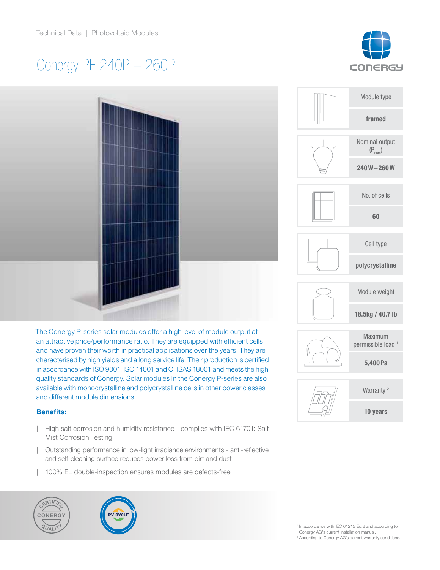# Conergy PE 240P – 260P





The Conergy P-series solar modules offer a high level of module output at an attractive price/performance ratio. They are equipped with efficient cells and have proven their worth in practical applications over the years. They are characterised by high yields and a long service life. Their production is certified in accordance with ISO 9001, ISO 14001 and OHSAS 18001 and meets the high quality standards of Conergy. Solar modules in the Conergy P-series are also available with monocrystalline and polycrystalline cells in other power classes and different module dimensions.

# Benefits:

- | High salt corrosion and humidity resistance complies with IEC 61701: Salt Mist Corrosion Testing
- | Outstanding performance in low-light irradiance environments anti-reflective and self-cleaning surface reduces power loss from dirt and dust
- | 100% EL double-inspection ensures modules are defects-free





|  | Module type                              |
|--|------------------------------------------|
|  | framed                                   |
|  | Nominal output<br>$(P_{nom})$            |
|  | $240W - 260W$                            |
|  | No. of cells                             |
|  | 60                                       |
|  | Cell type                                |
|  | polycrystalline                          |
|  | Module weight                            |
|  | 18.5kg / 40.7 lb                         |
|  | Maximum<br>permissible load <sup>1</sup> |
|  | 5,400 Pa                                 |
|  | Warranty <sup>2</sup>                    |
|  | 10 years                                 |
|  |                                          |

<sup>1</sup> In accordance with IEC 61215 Ed.2 and according to Conergy AG's current installation manual.

<sup>2</sup> According to Conergy AG's current warranty conditions.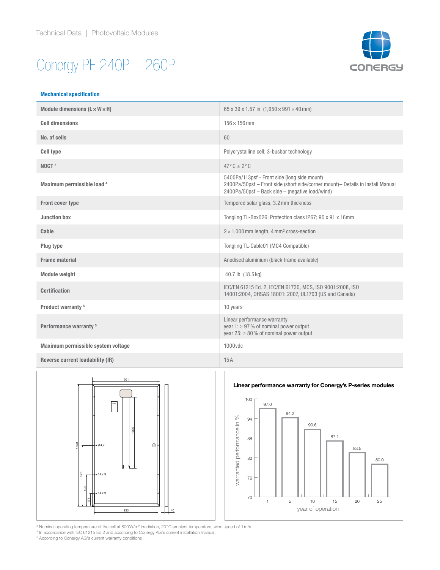# Conergy PE 240P – 260P



#### Mechanical specification

| Module dimensions $(L \times W \times H)$ | 65 x 39 x 1.57 in $(1.650 \times 991 \times 40$ mm)                                                                                                                                |
|-------------------------------------------|------------------------------------------------------------------------------------------------------------------------------------------------------------------------------------|
| <b>Cell dimensions</b>                    | $156 \times 156$ mm                                                                                                                                                                |
| No. of cells                              | 60                                                                                                                                                                                 |
| <b>Cell type</b>                          | Polycrystalline cell; 3-busbar technology                                                                                                                                          |
| NOCT <sup>3</sup>                         | $47^{\circ}$ C $\pm$ 2° C                                                                                                                                                          |
| Maximum permissible load 4                | 5400Pa/113psf - Front side (long side mount)<br>2400Pa/50psf - Front side (short side/corner mount) - Details in Install Manual<br>2400Pa/50psf - Back side - (negative load/wind) |
| <b>Front cover type</b>                   | Tempered solar glass, 3.2 mm thickness                                                                                                                                             |
| <b>Junction box</b>                       | Tongling TL-Box026; Protection class IP67; 90 x 91 x 16mm                                                                                                                          |
| Cable                                     | $2 \times 1,000$ mm length, 4 mm <sup>2</sup> cross-section                                                                                                                        |
| Plug type                                 | Tongling TL-Cable01 (MC4 Compatible)                                                                                                                                               |
| <b>Frame material</b>                     | Anodised aluminium (black frame available)                                                                                                                                         |
| <b>Module weight</b>                      | 40.7 lb (18.5 kg)                                                                                                                                                                  |
| <b>Certification</b>                      | IEC/EN 61215 Ed. 2, IEC/EN 61730, MCS, ISO 9001:2008, ISO<br>14001:2004, OHSAS 18001: 2007, UL1703 (US and Canada)                                                                 |
| Product warranty <sup>5</sup>             | 10 years                                                                                                                                                                           |
| Performance warranty <sup>5</sup>         | Linear performance warranty<br>year 1: $\geq$ 97% of nominal power output<br>year 25: $\geq 80\%$ of nominal power output                                                          |
| Maximum permissible system voltage        | 1000vdc                                                                                                                                                                            |
| Reverse current loadability (IR)          | 15A                                                                                                                                                                                |



3 Nominal operating temperature of the cell at 800W/m² irradiation, 20°C ambient temperature, wind speed of 1m/s 4 In accordance with IEC 61215 Ed.2 and according to Conergy AG's current installation manual.

5 According to Conergy AG's current warranty conditions

### Linear performance warranty for Conergy's P-series modules

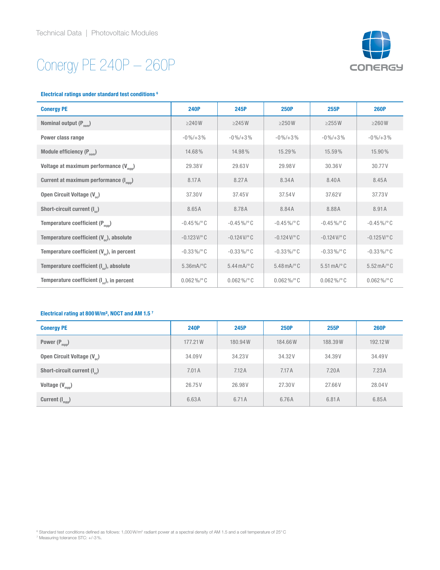# Conergy PE 240P – 260P



#### Electrical ratings under standard test conditions 6

| <b>Conergy PE</b>                                      | <b>240P</b>              | 245P                          | <b>250P</b>                   | 255P                           | <b>260P</b>                          |
|--------------------------------------------------------|--------------------------|-------------------------------|-------------------------------|--------------------------------|--------------------------------------|
| Nominal output $(P_{nom})$                             | $\geq$ 240 W             | $\geq$ 245 W                  | $\geq$ 250W                   | $\geq$ 255 W                   | $\geq$ 260 W                         |
| Power class range                                      | $-0\% / + 3\%$           | $-0\% / +3\%$                 | $-0\% / + 3\%$                | $-0\% / + 3\%$                 | $-0\% / + 3\%$                       |
| Module efficiency $(P_{nom})$                          | 14.68%                   | 14.98%                        | 15.29%                        | 15.59%                         | 15.90%                               |
| Voltage at maximum performance (V <sub>mpp</sub> )     | 29.38V                   | 29.63V                        | 29.98V                        | 30.36V                         | 30.77V                               |
| Current at maximum performance (I <sub>moo</sub> )     | 8.17A                    | 8.27A                         | 8.34A                         | 8.40A                          | 8.45A                                |
| Open Circuit Voltage (V <sub>oc</sub> )                | 37.30V                   | 37.45V                        | 37.54V                        | 37.62V                         | 37.73V                               |
| Short-circuit current (I <sub>ss</sub> )               | 8.65A                    | 8.78A                         | 8.84A                         | 8.88A                          | 8.91A                                |
| Temperature coefficient $(P_{\text{mop}})$             | $-0.45\%$ /°C            | $-0.45\%$ / $^{\circ}$ C      | $-0.45\%$ /°C                 | $-0.45\%$ /°C                  | $-0.45\%$ /°C                        |
| Temperature coefficient $(V_{\odot})$ , absolute       | $-0.123$ V/ $^{\circ}$ C | $-0.124$ V/ $^{\circ}$ C      | $-0.124$ V/ $^{\circ}$ C      | $-0.124$ V/ $^{\circ}$ C       | $-0.125$ V/ $^{\circ}$ C             |
| Temperature coefficient $(V_{oc})$ , in percent        | $-0.33\%$ /°C            | $-0.33\%$ /°C                 | $-0.33\%$ /°C                 | $-0.33\%$ /°C                  | $-0.33\%$ /°C                        |
| Temperature coefficient (I <sub>sc</sub> ), absolute   | $5.36mA$ <sup>o</sup> C  | $5.44 \text{ mA}$ $\degree$ C | $5.48 \text{ mA}$ $\degree$ C | $5.51 \text{ mA}$ $^{\circ}$ C | $5.52 \text{ mA} / \degree \text{C}$ |
| Temperature coefficient (I <sub>co</sub> ), in percent | $0.062\%$ / ° C          | $0.062\%$ / ° C               | $0.062\%$ / ° C               | $0.062\%$ / $^{\circ}$ C       | $0.062\%$ /°C                        |

## Electrical rating at 800W/m², NOCT and AM 1.5 7

| <b>Conergy PE</b>                       | <b>240P</b> | 245P    | <b>250P</b> | 255P    | <b>260P</b> |
|-----------------------------------------|-------------|---------|-------------|---------|-------------|
| Power $(P_{mpp})$                       | 177.21 W    | 180.94W | 184.66W     | 188.39W | 192.12W     |
| Open Circuit Voltage (V <sub>oc</sub> ) | 34.09V      | 34.23V  | 34.32V      | 34.39V  | 34.49V      |
| Short-circuit current $(I_{\infty})$    | 7.01A       | 7.12A   | 7.17A       | 7.20A   | 7.23A       |
| Voltage $(V_{\text{mop}})$              | 26.75V      | 26.98V  | 27.30V      | 27.66V  | 28.04V      |
| Current $(I_{\text{mop}})$              | 6.63A       | 6.71A   | 6.76A       | 6.81A   | 6.85A       |